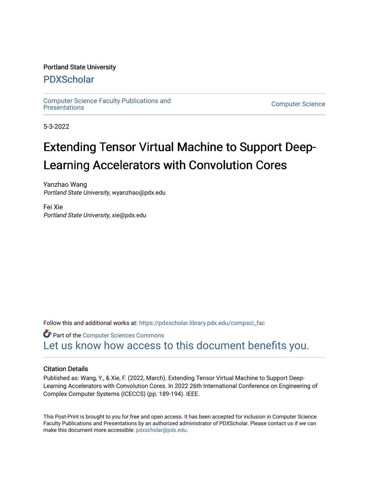### Portland State University

## [PDXScholar](https://pdxscholar.library.pdx.edu/)

[Computer Science Faculty Publications and](https://pdxscholar.library.pdx.edu/compsci_fac) 

**Computer Science** 

5-3-2022

# Extending Tensor Virtual Machine to Support Deep-Learning Accelerators with Convolution Cores

Yanzhao Wang Portland State University, wyanzhao@pdx.edu

Fei Xie Portland State University, xie@pdx.edu

Follow this and additional works at: [https://pdxscholar.library.pdx.edu/compsci\\_fac](https://pdxscholar.library.pdx.edu/compsci_fac?utm_source=pdxscholar.library.pdx.edu%2Fcompsci_fac%2F292&utm_medium=PDF&utm_campaign=PDFCoverPages) 

**Part of the [Computer Sciences Commons](https://network.bepress.com/hgg/discipline/142?utm_source=pdxscholar.library.pdx.edu%2Fcompsci_fac%2F292&utm_medium=PDF&utm_campaign=PDFCoverPages)** [Let us know how access to this document benefits you.](http://library.pdx.edu/services/pdxscholar-services/pdxscholar-feedback/?ref=https://pdxscholar.library.pdx.edu/compsci_fac/292) 

### Citation Details

Published as: Wang, Y., & Xie, F. (2022, March). Extending Tensor Virtual Machine to Support Deep-Learning Accelerators with Convolution Cores. In 2022 26th International Conference on Engineering of Complex Computer Systems (ICECCS) (pp. 189-194). IEEE.

This Post-Print is brought to you for free and open access. It has been accepted for inclusion in Computer Science Faculty Publications and Presentations by an authorized administrator of PDXScholar. Please contact us if we can make this document more accessible: [pdxscholar@pdx.edu.](mailto:pdxscholar@pdx.edu)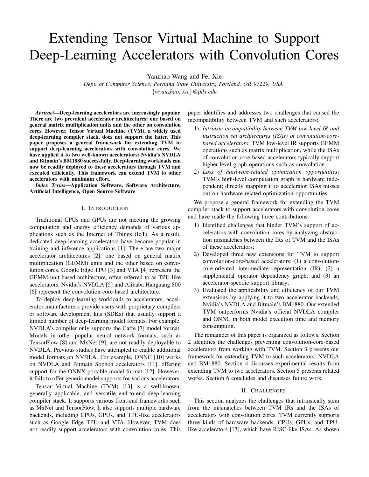# Extending Tensor Virtual Machine to Support Deep-Learning Accelerators with Convolution Cores

Yanzhao Wang and Fei Xie

*Dept. of Computer Science, Portland State University, Portland, OR 97229, USA* {*wyanzhao, xie*}*@pdx.edu*

*Abstract*—Deep-learning accelerators are increasingly popular. There are two prevalent accelerator architectures: one based on general matrix multiplication units and the other on convolution cores. However, Tensor Virtual Machine (TVM), a widely used deep-learning compiler stack, does not support the latter. This paper proposes a general framework for extending TVM to support deep-learning accelerators with convolution cores. We have applied it to two well-known accelerators: Nvidia's NVDLA and Bitmain's BM1880 successfully. Deep-learning workloads can now be readily deployed to these accelerators through TVM and executed efficiently. This framework can extend TVM to other accelerators with minimum effort.

*Index Terms*—Application Software, Software Architecture, Artificial Intelligence, Open Source Software

#### I. INTRODUCTION

Traditional CPUs and GPUs are not meeting the growing computation and energy efficiency demands of various applications such as the Internet of Things (IoT). As a result, dedicated deep-learning accelerators have become popular in training and inference applications [1]. There are two major accelerator architectures [2]: one based on general matrix multiplication (GEMM) units and the other based on convolution cores. Google Edge TPU [3] and VTA [4] represent the GEMM-unit based architecture, often referred to as TPU-like accelerators. Nvidia's NVDLA [5] and Alibaba Hanguang 800 [6] represent the convolution-core-based architecture.

To deploy deep-learning workloads to accelerators, accelerator manufacturers provide users with proprietary compilers or software development kits (SDKs) that usually support a limited number of deep-learning model formats. For example, NVDLA's compiler only supports the Caffe [7] model format. Models in other popular neural network formats, such as TensorFlow [8] and MxNet [9], are not readily deployable to NVDLA. Previous studies have attempted to enable additional model formats on NVDLA. For example, ONNC [10] works on NVDLA and Bitmain Sophon accelerators [11], offering support for the ONNX portable model format [12]. However, it fails to offer generic model supports for various accelerators.

Tensor Virtual Machine (TVM) [13] is a well-known, generally applicable, and versatile end-to-end deep-learning compiler stack. It supports various front-end frameworks such as MxNet and TensorFlow. It also supports multiple hardware backends, including CPUs, GPUs, and TPU-like accelerators such as Google Edge TPU and VTA. However, TVM does not readily support accelerators with convolution cores. This paper identifies and addresses two challenges that caused the incompatibility between TVM and such accelerators:

- 1) *Intrinsic incompatibility between TVM low-level IR and instruction set architectures (ISAs) of convolution-corebased accelerators*: TVM low-level IR supports GEMM operations such as matrix multiplication, while the ISAs of convolution-core-based accelerators typically support higher-level graph operations such as convolution.
- 2) *Loss of hardware-related optimization opportunities*: TVM's high-level computation graph is hardware independent; directly mapping it to accelerator ISAs misses out on hardware-related optimization opportunities.

We propose a general framework for extending the TVM compiler stack to support accelerators with convolution cores and have made the following three contributions:

- 1) Identified challenges that hinder TVM's support of accelerators with convolution cores by analyzing abstraction mismatches between the IRs of TVM and the ISAs of these accelerators;
- 2) Developed three new extensions for TVM to support convolution-core-based accelerators: (1) a convolutioncore-oriented intermediate representation (IR), (2) a supplemental operator dependency graph, and  $(3)$  and accelerator-specific support library;
- 3) Evaluated the applicability and efficiency of our TVM extensions by applying it to two accelerator backends, Nvidia's NVDLA and Bitmain's BM1880. Our extended TVM outperforms Nvidia's official NVDLA compiler and ONNC in both model execution time and memory consumption.

The remainder of this paper is organized as follows. Section 2 identifies the challenges preventing convolution-core-based accelerators from working with TVM. Section 3 presents our framework for extending TVM to such accelerators: NVDLA and BM1880. Section 4 discusses experimental results from extending TVM to two accelerators. Section 5 presents related works. Section 6 concludes and discusses future work.

#### II. CHALLENGES

This section analyzes the challenges that intrinsically stem from the mismatches between TVM IRs and the ISAs of accelerators with convolution cores. TVM currently supports three kinds of hardware backends: CPUs, GPUs, and TPUlike accelerators [13], which have RISC-like ISAs. As shown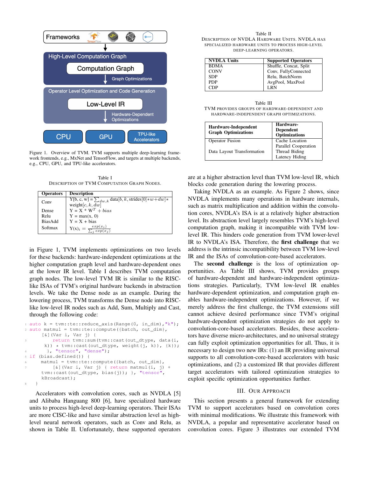

Figure 1. Overview of TVM. TVM supports multiple deep-learning framework frontends, e.g., MxNet and TensorFlow, and targets at multiple backends, e.g., CPU, GPU, and TPU-like accelerators.

Table I DESCRIPTION OF TVM COMPUTATION GRAPH NODES.

| <b>Description</b>                                                |
|-------------------------------------------------------------------|
| Y[b, c, w] = $\sum_{dw,k}$ data $[b, k, \text{strides}[0]*w+dw]*$ |
| weight $[c, k, dw]$                                               |
| $Y = X * WT + bias$                                               |
| $Y = max(x, 0)$                                                   |
| $Y = X + bias$                                                    |
| $Y(x)_i = \frac{exp(x_i)}{\sum_i exp(x_i)}$                       |
|                                                                   |

in Figure 1, TVM implements optimizations on two levels for these backends: hardware-independent optimizations at the higher computation graph level and hardware-dependent ones at the lower IR level. Table I describes TVM computation graph nodes. The low-level TVM IR is similar to the RISClike ISAs of TVM's original hardware backends in abstraction levels. We take the Dense node as an example. During the lowering process, TVM transforms the Dense node into RISClike low-level IR nodes such as Add, Sum, Multiply and Cast, through the following code:

```
1 auto k = tvm::te::reduce_axis(Range(0, in_dim),"k");
2 auto matmul = tvm::te::compute({batch, out_dim},
      [&](Var i, Var j) {
          3 return tvm::sum(tvm::cast(out_dtype, data(i,
       k)) \star tvm:: cast (out_dtype, weight(j, k)), {k});
        \}, "tensor", "dense");
5 if (bias.defined()) {
      mathrm1 = \text{tvm::te::compute}(\{\text{batch, out\_dim}\},[\text{\&}] (Var i, Var j) { return matmul(i, j) +
      tvm::cast(out_dtype, bias(j)); }, "tensor",
      kBroadcast);
8 }
```
Accelerators with convolution cores, such as NVDLA [5] and Alibaba Hanguang 800 [6], have specialized hardware units to process high-level deep-learning operators. Their ISAs are more CISC-like and have similar abstraction level as highlevel neural network operators, such as Conv and Relu, as shown in Table II. Unfortunately, these supported operators

Table II DESCRIPTION OF NVDLA HARDWARE UNITS. NVDLA HAS SPECIALIZED HARDWARE UNITS TO PROCESS HIGH-LEVEL DEEP-LEARNING OPERATORS.

| <b>NVDLA Units</b> | <b>Supported Operators</b> |
|--------------------|----------------------------|
| <b>BDMA</b>        | Shuffle, Concat, Split     |
| <b>CONV</b>        | Conv, FullyConnected       |
| <b>SDP</b>         | Relu, BatchNorm            |
| <b>PDP</b>         | AvgPool, MaxPool           |
| CDP                | LRN                        |

| Table III                                     |  |  |  |  |
|-----------------------------------------------|--|--|--|--|
| TVM PROVIDES GROUPS OF HARDWARE-DEPENDENT AND |  |  |  |  |
| HARDWARE-INDEPENDENT GRAPH OPTIMIZATIONS.     |  |  |  |  |

| Hardware-Independent<br><b>Graph Optimizations</b> | Hardware-<br><b>Dependent</b><br><b>Optimizations</b> |
|----------------------------------------------------|-------------------------------------------------------|
| <b>Operator Fusion</b>                             | Cache Location                                        |
|                                                    | Parallel Cooperation                                  |
| Data Layout Transformation                         | Thread Biding                                         |
|                                                    | Latency Hiding                                        |

are at a higher abstraction level than TVM low-level IR, which blocks code generation during the lowering process.

Taking NVDLA as an example. As Figure 2 shows, since NVDLA implements many operations in hardware internals, such as matrix multiplication and addition within the convolution cores, NVDLA's ISA is at a relatively higher abstraction level. Its abstraction level largely resembles TVM's high-level computation graph, making it incompatible with TVM lowlevel IR. This hinders code generation from TVM lower-level IR to NVDLA's ISA. Therefore, the first challenge that we address is the intrinsic incompatibility between TVM low-level IR and the ISAs of convolution-core-based accelerators.

The **second challenge** is the loss of optimization opportunities. As Table III shows, TVM provides groups of hardware-dependent and hardware-independent optimizations strategies. Particularly, TVM low-level IR enables hardware-dependent optimization, and computation graph enables hardware-independent optimizations. However, if we merely address the first challenge, the TVM extensions still cannot achieve desired performance since TVM's original hardware-dependent optimization strategies do not apply to convolution-core-based accelerators. Besides, these accelerators have diverse micro-architectures, and no universal strategy can fully exploit optimization opportunities for all. Thus, it is necessary to design two new IRs: (1) an IR providing universal supports to all convolution-core-based accelerators with basic optimizations, and (2) a customized IR that provides different target accelerators with tailored optimization strategies to exploit specific optimization opportunities further.

#### III. OUR APPROACH

This section presents a general framework for extending TVM to support accelerators based on convolution cores with minimal modifications. We illustrate this framework with NVDLA, a popular and representative accelerator based on convolution cores. Figure 3 illustrates our extended TVM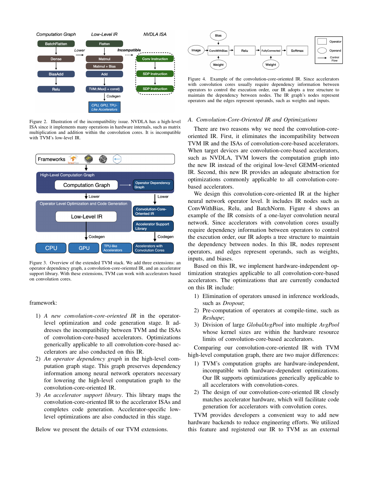

Figure 2. Illustration of the incompatibility issue. NVDLA has a high-level ISA since it implements many operations in hardware internals, such as matrix multiplication and addition within the convolution cores. It is incompatible with TVM's low-level IR.



Figure 3. Overview of the extended TVM stack. We add three extensions: an operator dependency graph, a convolution-core-oriented IR, and an accelerator support library. With these extensions, TVM can work with accelerators based on convolution cores.

#### framework:

- 1) *A new convolution-core-oriented IR* in the operatorlevel optimization and code generation stage. It addresses the incompatibility between TVM and the ISAs of convolution-core-based accelerators. Optimizations generically applicable to all convolution-core-based accelerators are also conducted on this IR.
- 2) *An operator dependency graph* in the high-level computation graph stage. This graph preserves dependency information among neural network operators necessary for lowering the high-level computation graph to the convolution-core-oriented IR.
- 3) *An accelerator support library*. This library maps the convolution-core-oriented IR to the accelerator ISAs and completes code generation. Accelerator-specific lowlevel optimizations are also conducted in this stage.

Below we present the details of our TVM extensions.



Figure 4. Example of the convolution-core-oriented IR. Since accelerators with convolution cores usually require dependency information between operators to control the execution order, our IR adopts a tree structure to maintain the dependency between nodes. The IR graph's nodes represent operators and the edges represent operands, such as weights and inputs.

#### *A. Convolution-Core-Oriented IR and Optimizations*

There are two reasons why we need the convolution-coreoriented IR. First, it eliminates the incompatibility between TVM IR and the ISAs of convolution-core-based accelerators. When target devices are convolution-core-based accelerators, such as NVDLA, TVM lowers the computation graph into the new IR instead of the original low-level GEMM-oriented IR. Second, this new IR provides an adequate abstraction for optimizations commonly applicable to all convolution-corebased accelerators.

We design this convolution-core-oriented IR at the higher neural network operator level. It includes IR nodes such as ConvWithBias, Relu, and BatchNorm. Figure 4 shows an example of the IR consists of a one-layer convolution neural network. Since accelerators with convolution cores usually require dependency information between operators to control the execution order, our IR adopts a tree structure to maintain the dependency between nodes. In this IR, nodes represent operators, and edges represent operands, such as weights, inputs, and biases.

Based on this IR, we implement hardware-independent optimization strategies applicable to all convolution-core-based accelerators. The optimizations that are currently conducted on this IR include:

- 1) Elimination of operators unused in inference workloads, such as *Dropout*;
- 2) Pre-computation of operators at compile-time, such as *Reshape*;
- 3) Division of large *GlobalAvgPool* into multiple *AvgPool* whose kernel sizes are within the hardware resource limits of convolution-core-based accelerators.

Comparing our convolution-core-oriented IR with TVM high-level computation graph, there are two major differences:

- 1) TVM's computation graphs are hardware-independent, incompatible with hardware-dependent optimizations. Our IR supports optimizations generically applicable to all accelerators with convolution-cores.
- 2) The design of our convolution-core-oriented IR closely matches accelerator hardware, which will facilitate code generation for accelerators with convolution cores.

TVM provides developers a convenient way to add new hardware backends to reduce engineering efforts. We utilized this feature and registered our IR to TVM as an external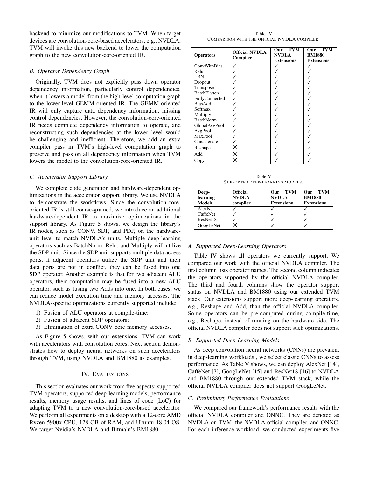backend to minimize our modifications to TVM. When target devices are convolution-core-based accelerators, e.g., NVDLA, TVM will invoke this new backend to lower the computation graph to the new convolution-core-oriented IR.

#### *B. Operator Dependency Graph*

Originally, TVM does not explicitly pass down operator dependency information, particularly control dependencies, when it lowers a model from the high-level computation graph to the lower-level GEMM-oriented IR. The GEMM-oriented IR will only capture data dependency information, missing control dependencies. However, the convolution-core-oriented IR needs complete dependency information to operate, and reconstructing such dependencies at the lower level would be challenging and inefficient. Therefore, we add an extra compiler pass in TVM's high-level computation graph to preserve and pass on all dependency information when TVM lowers the model to the convolution-core-oriented IR.

#### *C. Accelerator Support Library*

We complete code generation and hardware-dependent optimizations in the accelerator support library. We use NVDLA to demonstrate the workflows. Since the convolution-coreoriented IR is still coarse-grained, we introduce an additional hardware-dependent IR to maximize optimizations in the support library. As Figure 5 shows, we design the library's IR nodes, such as CONV, SDP, and PDP, on the hardwareunit level to match NVDLA's units. Multiple deep-learning operators such as BatchNorm, Relu, and Multiply will utilize the SDP unit. Since the SDP unit supports multiple data access ports, if adjacent operators utilize the SDP unit and their data ports are not in conflict, they can be fused into one SDP operator. Another example is that for two adjacent ALU operators, their computation may be fused into a new ALU operator, such as fusing two Adds into one. In both cases, we can reduce model execution time and memory accesses. The NVDLA-specific optimizations currently supported include:

- 1) Fusion of ALU operators at compile-time;
- 2) Fusion of adjacent SDP operators;
- 3) Elimination of extra CONV core memory accesses.

As Figure 5 shows, with our extensions, TVM can work with accelerators with convolution cores. Next section demonstrates how to deploy neural networks on such accelerators through TVM, using NVDLA and BM1880 as examples.

#### IV. EVALUATIONS

This section evaluates our work from five aspects: supported TVM operators, supported deep-learning models, performance results, memory usage results, and lines of code (LoC) for adapting TVM to a new convolution-core-based accelerator. We perform all experiments on a desktop with a 12-core AMD Ryzen 5900x CPU, 128 GB of RAM, and Ubuntu 18.04 OS. We target Nvidia's NVDLA and Bitmain's BM1880.

Table IV COMPARISON WITH THE OFFICIAL NVDLA COMPILER.

|                     | <b>Official NVDLA</b><br>Compiler | <b>TVM</b><br>Our | <b>TVM</b><br>Our |
|---------------------|-----------------------------------|-------------------|-------------------|
| <b>Operators</b>    |                                   | <b>NVDLA</b>      | <b>BM1880</b>     |
|                     |                                   | <b>Extensions</b> | <b>Extensions</b> |
| ConvWithBias        |                                   |                   |                   |
| Relu                |                                   |                   |                   |
| LRN                 |                                   |                   |                   |
| Dropout             |                                   |                   |                   |
| Transpose           |                                   |                   |                   |
| <b>BatchFlatten</b> |                                   |                   |                   |
| FullyConnected      |                                   |                   |                   |
| BiasAdd             |                                   |                   |                   |
| Softmax             |                                   |                   |                   |
| Multiply            |                                   |                   |                   |
| BatchNorm           |                                   |                   |                   |
| GlobalAvgPool       |                                   |                   |                   |
| AvgPool             |                                   |                   |                   |
| MaxPool             |                                   |                   |                   |
| Concatenate         |                                   |                   |                   |
| Reshape             | Х                                 |                   |                   |
| Add                 | $\times$                          |                   |                   |
| Copy                | ×                                 |                   |                   |
|                     |                                   |                   |                   |

Table V SUPPORTED DEEP-LEARNING MODELS.

| Deep-<br>learning<br>Models | <b>Official</b><br><b>NVDLA</b><br>compiler | <b>TVM</b><br>Our<br><b>NVDLA</b><br><b>Extensions</b> | Our TVM<br><b>BM1880</b><br><b>Extensions</b> |
|-----------------------------|---------------------------------------------|--------------------------------------------------------|-----------------------------------------------|
| AlexNet                     |                                             |                                                        |                                               |
| CaffeNet                    |                                             |                                                        |                                               |
| ResNet18                    |                                             |                                                        |                                               |
| GoogLeNet                   |                                             |                                                        |                                               |

#### *A. Supported Deep-Learning Operators*

Table IV shows all operators we currently support. We compared our work with the official NVDLA compiler. The first column lists operator names. The second column indicates the operators supported by the official NVDLA compiler. The third and fourth columns show the operator support status on NVDLA and BM1880 using our extended TVM stack. Our extensions support more deep-learning operators, e.g., Reshape and Add, than the official NVDLA compiler. Some operators can be pre-computed during compile-time, e.g., Reshape, instead of running on the hardware side. The official NVDLA compiler does not support such optimizations.

#### *B. Supported Deep-Learning Models*

As deep convolution neural networks (CNNs) are prevalent in deep-learning workloads , we select classic CNNs to assess performance. As Table V shows, we can deploy AlexNet [14], CaffeNet [7], GoogLeNet [15] and ResNet18 [16] to NVDLA and BM1880 through our extended TVM stack, while the official NVDLA compiler does not support GoogLeNet.

#### *C. Preliminary Performance Evaluations*

We compared our framework's performance results with the official NVDLA compiler and ONNC. They are denoted as NVDLA on TVM, the NVDLA official compiler, and ONNC. For each inference workload, we conducted experiments five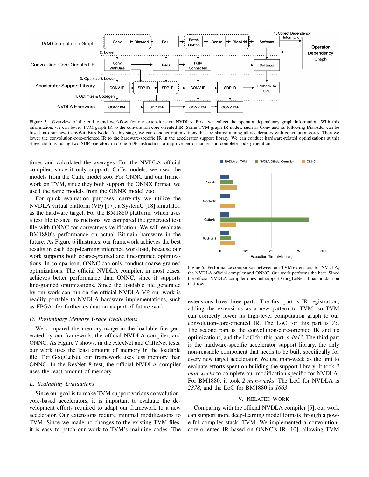

Figure 5. Overview of the end-to-end workflow for our extensions on NVDLA. First, we collect the operator dependency graph information. With this information, we can lower TVM graph IR to the convolution-core-oriented IR. Some TVM graph IR nodes, such as Conv and its following BiasAdd, can be fused into our new ConvWithBias Node. At this stage, we can conduct optimizations that are shared among all accelerators with convolution cores. Then we lower the convolution-core-oriented IR to the hardware-specific IR in the accelerator support library. We can conduct hardware-related optimizations at this stage, such as fusing two SDP operators into one SDP instruction to improve performance, and complete code generation.

times and calculated the averages. For the NVDLA official compiler, since it only supports Caffe models, we used the models from the Caffe model zoo. For ONNC and our framework on TVM, since they both support the ONNX format, we used the same models from the ONNX model zoo.

For quick evaluation purposes, currently we utilize the NVDLA virtual platform (VP) [17], a SystemC [18] simulator, as the hardware target. For the BM1880 platform, which uses a text file to save instructions, we compared the generated text file with ONNC for correctness verification. We will evaluate BM1880's performance on actual Bitmain hardware in the future. As Figure 6 illustrates, our framework achieves the best results in each deep-learning inference workload, because our work supports both coarse-grained and fine-grained optimizations. In comparison, ONNC can only conduct coarse-grained optimizations. The official NVDLA compiler, in most cases, achieves better performance than ONNC, since it supports fine-grained optimizations. Since the loadable file generated by our work can run on the official NVDLA VP, our work is readily portable to NVDLA hardware implementations, such as FPGA, for further evaluation as part of future work.

#### *D. Preliminary Memory Usage Evaluations*

We compared the memory usage in the loadable file generated by our framework, the official NVDLA compiler, and ONNC. As Figure 7 shows, in the AlexNet and CaffeNet tests, our work uses the least amount of memory in the loadable file. For GoogLeNet, our framework uses less memory than ONNC. In the ResNet18 test, the official NVDLA compiler uses the least amount of memory.

#### *E. Scalability Evaluations*

Since our goal is to make TVM support various convolutioncore-based accelerators, it is important to evaluate the development efforts required to adapt our framework to a new accelerator. Our extensions require minimal modifications to TVM. Since we made no changes to the existing TVM files, it is easy to patch our work to TVM's mainline codes. The



Figure 6. Performance comparison between our TVM extensions for NVDLA, the NVDLA official compiler and ONNC. Our work performs the best. Since the official NVDLA compiler does not support GoogLeNet, it has no data on that row.

extensions have three parts. The first part is IR registration, adding the extensions as a new pattern to TVM, so TVM can correctly lower its high-level computation graph to our convolution-core-oriented IR. The LoC for this part is *75*. The second part is the convolution-core-oriented IR and its optimizations, and the LoC for this part is *4943*. The third part is the hardware-specific accelerator support library, the only non-reusable component that needs to be built specifically for every new target accelerator. We use man-week as the unit to evaluate efforts spent on building the support library. It took *3 man-weeks* to complete our modification specific for NVDLA. For BM1880, it took *2 man-weeks*. The LoC for NVDLA is *2378*, and the LoC for BM1880 is *1663*.

#### V. RELATED WORK

Comparing with the official NVDLA compiler [5], our work can support more deep-learning model formats through a powerful compiler stack, TVM. We implemented a convolutioncore-oriented IR based on ONNC's IR [10], allowing TVM